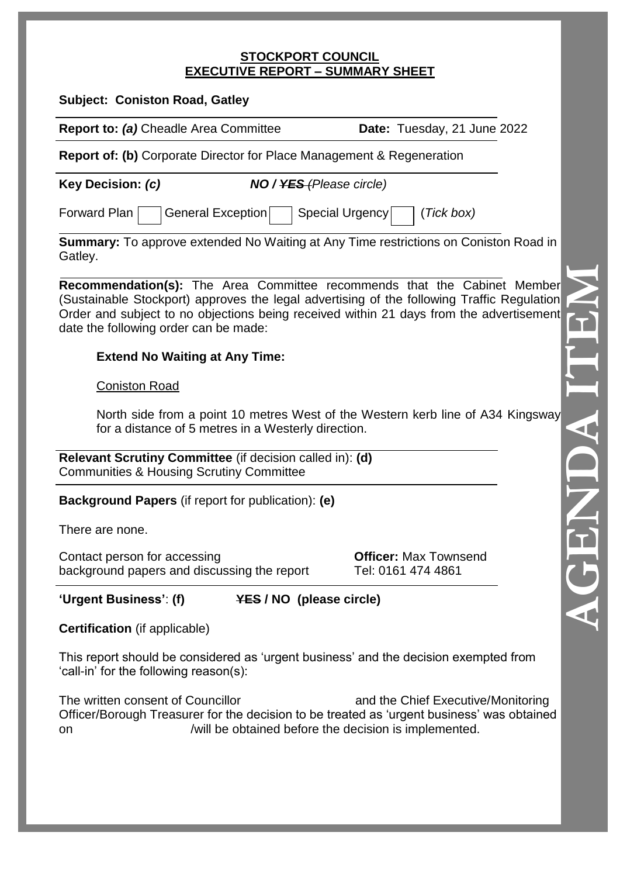#### **STOCKPORT COUNCIL EXECUTIVE REPORT – SUMMARY SHEET**

| <b>Subject: Coniston Road, Gatley</b>                                                                                                                                                                                                                                                                      |                                                    |  |
|------------------------------------------------------------------------------------------------------------------------------------------------------------------------------------------------------------------------------------------------------------------------------------------------------------|----------------------------------------------------|--|
| Report to: (a) Cheadle Area Committee                                                                                                                                                                                                                                                                      | Date: Tuesday, 21 June 2022                        |  |
| <b>Report of: (b)</b> Corporate Director for Place Management & Regeneration                                                                                                                                                                                                                               |                                                    |  |
| <b>Key Decision: (c)</b><br><b>NO</b> / <del>YES</del> (Please circle)                                                                                                                                                                                                                                     |                                                    |  |
| Forward Plan<br>General Exception<br>Special Urgency<br>(Tick box)                                                                                                                                                                                                                                         |                                                    |  |
| <b>Summary:</b> To approve extended No Waiting at Any Time restrictions on Coniston Road in<br>Gatley.                                                                                                                                                                                                     |                                                    |  |
| Recommendation(s): The Area Committee recommends that the Cabinet Member<br>(Sustainable Stockport) approves the legal advertising of the following Traffic Regulation<br>Order and subject to no objections being received within 21 days from the advertisement<br>date the following order can be made: |                                                    |  |
| <b>Extend No Waiting at Any Time:</b>                                                                                                                                                                                                                                                                      |                                                    |  |
| <b>Coniston Road</b>                                                                                                                                                                                                                                                                                       |                                                    |  |
| North side from a point 10 metres West of the Western kerb line of A34 Kingsway<br>for a distance of 5 metres in a Westerly direction.                                                                                                                                                                     |                                                    |  |
| Relevant Scrutiny Committee (if decision called in): (d)<br><b>Communities &amp; Housing Scrutiny Committee</b>                                                                                                                                                                                            |                                                    |  |
| <b>Background Papers</b> (if report for publication): (e)                                                                                                                                                                                                                                                  |                                                    |  |
| There are none.                                                                                                                                                                                                                                                                                            |                                                    |  |
| Contact person for accessing<br>background papers and discussing the report                                                                                                                                                                                                                                | <b>Officer: Max Townsend</b><br>Tel: 0161 474 4861 |  |
| 'Urgent Business': (f)<br><b>YES / NO (please circle)</b>                                                                                                                                                                                                                                                  |                                                    |  |
| <b>Certification</b> (if applicable)                                                                                                                                                                                                                                                                       |                                                    |  |
| This report should be considered as 'urgent business' and the decision exempted from<br>'call-in' for the following reason(s):                                                                                                                                                                             |                                                    |  |
| The written consent of Councillor<br>and the Chief Executive/Monitoring<br>Officer/Borough Treasurer for the decision to be treated as 'urgent business' was obtained<br>/will be obtained before the decision is implemented.<br>on                                                                       |                                                    |  |
|                                                                                                                                                                                                                                                                                                            |                                                    |  |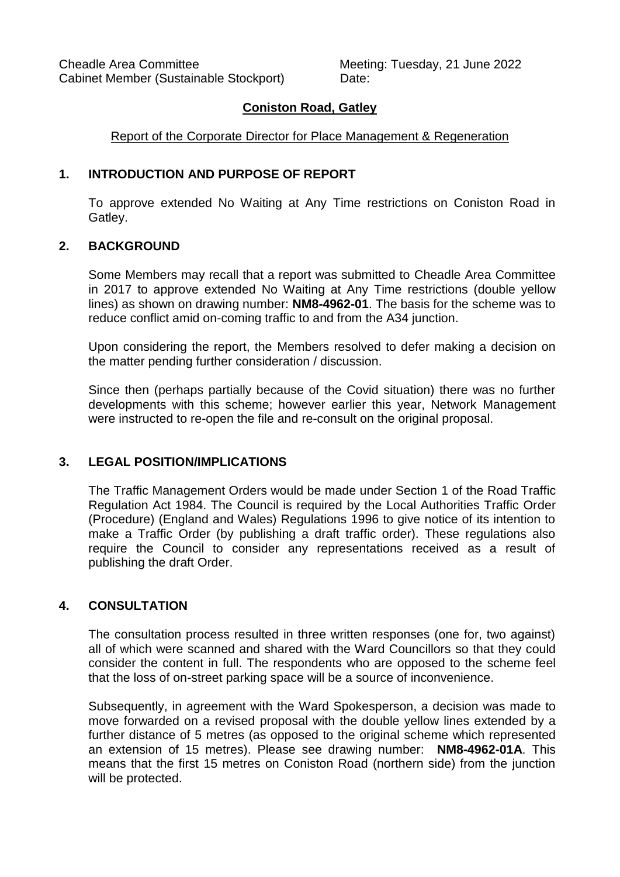# **Coniston Road, Gatley**

### Report of the Corporate Director for Place Management & Regeneration

### **1. INTRODUCTION AND PURPOSE OF REPORT**

To approve extended No Waiting at Any Time restrictions on Coniston Road in Gatley.

#### **2. BACKGROUND**

Some Members may recall that a report was submitted to Cheadle Area Committee in 2017 to approve extended No Waiting at Any Time restrictions (double yellow lines) as shown on drawing number: **NM8-4962-01**. The basis for the scheme was to reduce conflict amid on-coming traffic to and from the A34 junction.

Upon considering the report, the Members resolved to defer making a decision on the matter pending further consideration / discussion.

Since then (perhaps partially because of the Covid situation) there was no further developments with this scheme; however earlier this year, Network Management were instructed to re-open the file and re-consult on the original proposal.

### **3. LEGAL POSITION/IMPLICATIONS**

The Traffic Management Orders would be made under Section 1 of the Road Traffic Regulation Act 1984. The Council is required by the Local Authorities Traffic Order (Procedure) (England and Wales) Regulations 1996 to give notice of its intention to make a Traffic Order (by publishing a draft traffic order). These regulations also require the Council to consider any representations received as a result of publishing the draft Order.

### **4. CONSULTATION**

The consultation process resulted in three written responses (one for, two against) all of which were scanned and shared with the Ward Councillors so that they could consider the content in full. The respondents who are opposed to the scheme feel that the loss of on-street parking space will be a source of inconvenience.

Subsequently, in agreement with the Ward Spokesperson, a decision was made to move forwarded on a revised proposal with the double yellow lines extended by a further distance of 5 metres (as opposed to the original scheme which represented an extension of 15 metres). Please see drawing number: **NM8-4962-01A**. This means that the first 15 metres on Coniston Road (northern side) from the junction will be protected.